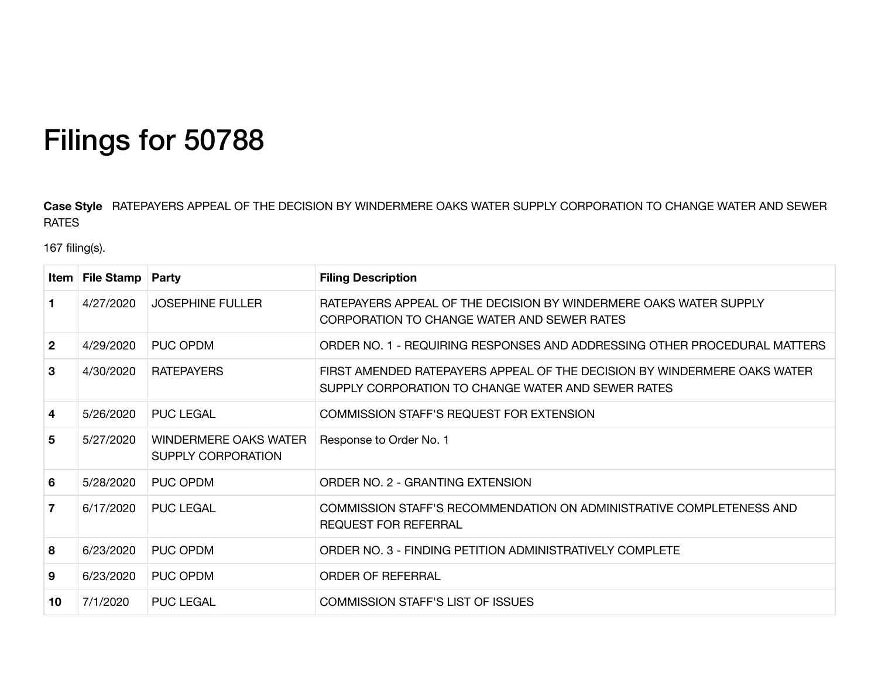## Filings for 50788

Case Style RATEPAYERS APPEAL OF THE DECISION BY WINDERMERE OAKS WATER SUPPLY CORPORATION TO CHANGE WATER AND SEWER RATES

167 filing(s).

|                | <b>Item   File Stamp   Party</b> |                                                    | <b>Filing Description</b>                                                                                                      |
|----------------|----------------------------------|----------------------------------------------------|--------------------------------------------------------------------------------------------------------------------------------|
| 1              | 4/27/2020                        | <b>JOSEPHINE FULLER</b>                            | RATEPAYERS APPEAL OF THE DECISION BY WINDERMERE OAKS WATER SUPPLY<br>CORPORATION TO CHANGE WATER AND SEWER RATES               |
| $\mathbf{2}$   | 4/29/2020                        | <b>PUC OPDM</b>                                    | ORDER NO. 1 - REQUIRING RESPONSES AND ADDRESSING OTHER PROCEDURAL MATTERS                                                      |
| 3              | 4/30/2020                        | <b>RATEPAYERS</b>                                  | FIRST AMENDED RATEPAYERS APPEAL OF THE DECISION BY WINDERMERE OAKS WATER<br>SUPPLY CORPORATION TO CHANGE WATER AND SEWER RATES |
| 4              | 5/26/2020                        | <b>PUC LEGAL</b>                                   | <b>COMMISSION STAFF'S REQUEST FOR EXTENSION</b>                                                                                |
| 5              | 5/27/2020                        | <b>WINDERMERE OAKS WATER</b><br>SUPPLY CORPORATION | Response to Order No. 1                                                                                                        |
| 6              | 5/28/2020                        | PUC OPDM                                           | ORDER NO. 2 - GRANTING EXTENSION                                                                                               |
| $\overline{7}$ | 6/17/2020                        | <b>PUC LEGAL</b>                                   | COMMISSION STAFF'S RECOMMENDATION ON ADMINISTRATIVE COMPLETENESS AND<br><b>REQUEST FOR REFERRAL</b>                            |
| 8              | 6/23/2020                        | <b>PUC OPDM</b>                                    | ORDER NO. 3 - FINDING PETITION ADMINISTRATIVELY COMPLETE                                                                       |
| 9              | 6/23/2020                        | PUC OPDM                                           | <b>ORDER OF REFERRAL</b>                                                                                                       |
| 10             | 7/1/2020                         | <b>PUC LEGAL</b>                                   | <b>COMMISSION STAFF'S LIST OF ISSUES</b>                                                                                       |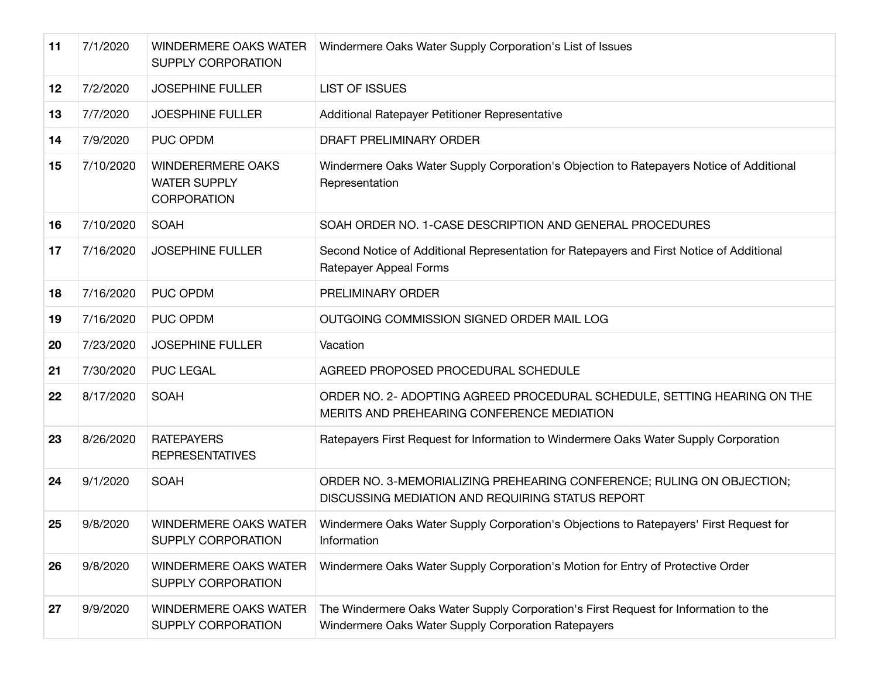| 11 | 7/1/2020  | <b>WINDERMERE OAKS WATER</b><br><b>SUPPLY CORPORATION</b>             | Windermere Oaks Water Supply Corporation's List of Issues                                                                                  |
|----|-----------|-----------------------------------------------------------------------|--------------------------------------------------------------------------------------------------------------------------------------------|
| 12 | 7/2/2020  | <b>JOSEPHINE FULLER</b>                                               | <b>LIST OF ISSUES</b>                                                                                                                      |
| 13 | 7/7/2020  | <b>JOESPHINE FULLER</b>                                               | Additional Ratepayer Petitioner Representative                                                                                             |
| 14 | 7/9/2020  | <b>PUC OPDM</b>                                                       | DRAFT PRELIMINARY ORDER                                                                                                                    |
| 15 | 7/10/2020 | <b>WINDERERMERE OAKS</b><br><b>WATER SUPPLY</b><br><b>CORPORATION</b> | Windermere Oaks Water Supply Corporation's Objection to Ratepayers Notice of Additional<br>Representation                                  |
| 16 | 7/10/2020 | <b>SOAH</b>                                                           | SOAH ORDER NO. 1-CASE DESCRIPTION AND GENERAL PROCEDURES                                                                                   |
| 17 | 7/16/2020 | <b>JOSEPHINE FULLER</b>                                               | Second Notice of Additional Representation for Ratepayers and First Notice of Additional<br>Ratepayer Appeal Forms                         |
| 18 | 7/16/2020 | <b>PUC OPDM</b>                                                       | PRELIMINARY ORDER                                                                                                                          |
| 19 | 7/16/2020 | <b>PUC OPDM</b>                                                       | OUTGOING COMMISSION SIGNED ORDER MAIL LOG                                                                                                  |
| 20 | 7/23/2020 | <b>JOSEPHINE FULLER</b>                                               | Vacation                                                                                                                                   |
| 21 | 7/30/2020 | <b>PUC LEGAL</b>                                                      | AGREED PROPOSED PROCEDURAL SCHEDULE                                                                                                        |
| 22 | 8/17/2020 | <b>SOAH</b>                                                           | ORDER NO. 2- ADOPTING AGREED PROCEDURAL SCHEDULE, SETTING HEARING ON THE<br>MERITS AND PREHEARING CONFERENCE MEDIATION                     |
| 23 | 8/26/2020 | <b>RATEPAYERS</b><br><b>REPRESENTATIVES</b>                           | Ratepayers First Request for Information to Windermere Oaks Water Supply Corporation                                                       |
| 24 | 9/1/2020  | SOAH                                                                  | ORDER NO. 3-MEMORIALIZING PREHEARING CONFERENCE; RULING ON OBJECTION;<br>DISCUSSING MEDIATION AND REQUIRING STATUS REPORT                  |
| 25 | 9/8/2020  | <b>WINDERMERE OAKS WATER</b><br>SUPPLY CORPORATION                    | Windermere Oaks Water Supply Corporation's Objections to Ratepayers' First Request for<br>Information                                      |
| 26 | 9/8/2020  | <b>WINDERMERE OAKS WATER</b><br><b>SUPPLY CORPORATION</b>             | Windermere Oaks Water Supply Corporation's Motion for Entry of Protective Order                                                            |
| 27 | 9/9/2020  | <b>WINDERMERE OAKS WATER</b><br>SUPPLY CORPORATION                    | The Windermere Oaks Water Supply Corporation's First Request for Information to the<br>Windermere Oaks Water Supply Corporation Ratepayers |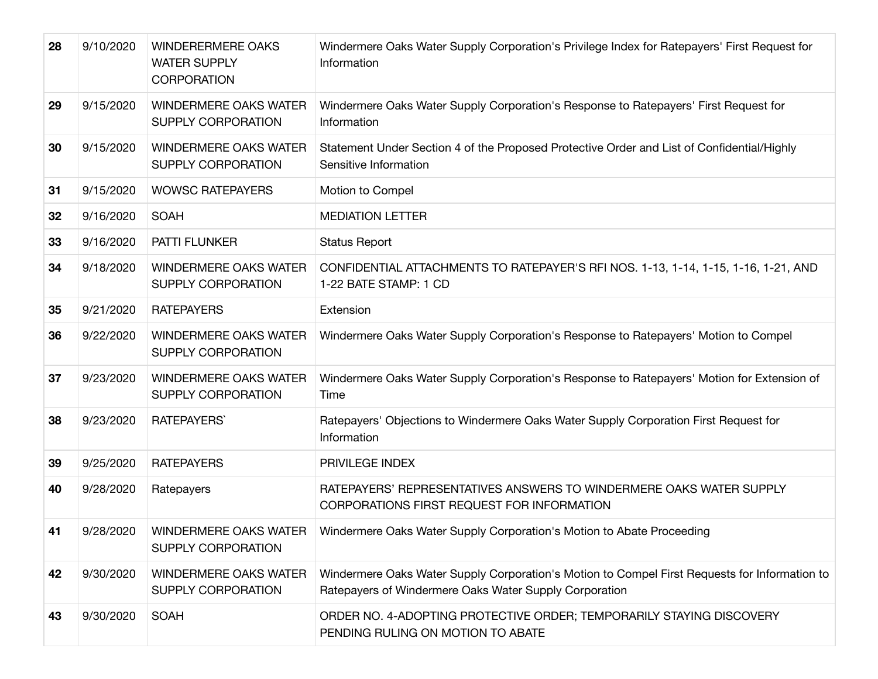| 28 | 9/10/2020 | <b>WINDERERMERE OAKS</b><br><b>WATER SUPPLY</b><br><b>CORPORATION</b> | Windermere Oaks Water Supply Corporation's Privilege Index for Ratepayers' First Request for<br>Information                                             |
|----|-----------|-----------------------------------------------------------------------|---------------------------------------------------------------------------------------------------------------------------------------------------------|
| 29 | 9/15/2020 | <b>WINDERMERE OAKS WATER</b><br>SUPPLY CORPORATION                    | Windermere Oaks Water Supply Corporation's Response to Ratepayers' First Request for<br>Information                                                     |
| 30 | 9/15/2020 | <b>WINDERMERE OAKS WATER</b><br>SUPPLY CORPORATION                    | Statement Under Section 4 of the Proposed Protective Order and List of Confidential/Highly<br>Sensitive Information                                     |
| 31 | 9/15/2020 | <b>WOWSC RATEPAYERS</b>                                               | Motion to Compel                                                                                                                                        |
| 32 | 9/16/2020 | <b>SOAH</b>                                                           | <b>MEDIATION LETTER</b>                                                                                                                                 |
| 33 | 9/16/2020 | PATTI FLUNKER                                                         | <b>Status Report</b>                                                                                                                                    |
| 34 | 9/18/2020 | <b>WINDERMERE OAKS WATER</b><br>SUPPLY CORPORATION                    | CONFIDENTIAL ATTACHMENTS TO RATEPAYER'S RFI NOS. 1-13, 1-14, 1-15, 1-16, 1-21, AND<br>1-22 BATE STAMP: 1 CD                                             |
| 35 | 9/21/2020 | <b>RATEPAYERS</b>                                                     | Extension                                                                                                                                               |
| 36 | 9/22/2020 | <b>WINDERMERE OAKS WATER</b><br>SUPPLY CORPORATION                    | Windermere Oaks Water Supply Corporation's Response to Ratepayers' Motion to Compel                                                                     |
| 37 | 9/23/2020 | <b>WINDERMERE OAKS WATER</b><br>SUPPLY CORPORATION                    | Windermere Oaks Water Supply Corporation's Response to Ratepayers' Motion for Extension of<br>Time                                                      |
| 38 | 9/23/2020 | <b>RATEPAYERS</b>                                                     | Ratepayers' Objections to Windermere Oaks Water Supply Corporation First Request for<br>Information                                                     |
| 39 | 9/25/2020 | <b>RATEPAYERS</b>                                                     | PRIVILEGE INDEX                                                                                                                                         |
| 40 | 9/28/2020 | Ratepayers                                                            | RATEPAYERS' REPRESENTATIVES ANSWERS TO WINDERMERE OAKS WATER SUPPLY<br>CORPORATIONS FIRST REQUEST FOR INFORMATION                                       |
| 41 | 9/28/2020 | WINDERMERE OAKS WATER<br>SUPPLY CORPORATION                           | Windermere Oaks Water Supply Corporation's Motion to Abate Proceeding                                                                                   |
| 42 | 9/30/2020 | <b>WINDERMERE OAKS WATER</b><br>SUPPLY CORPORATION                    | Windermere Oaks Water Supply Corporation's Motion to Compel First Requests for Information to<br>Ratepayers of Windermere Oaks Water Supply Corporation |
| 43 | 9/30/2020 | <b>SOAH</b>                                                           | ORDER NO. 4-ADOPTING PROTECTIVE ORDER; TEMPORARILY STAYING DISCOVERY<br>PENDING RULING ON MOTION TO ABATE                                               |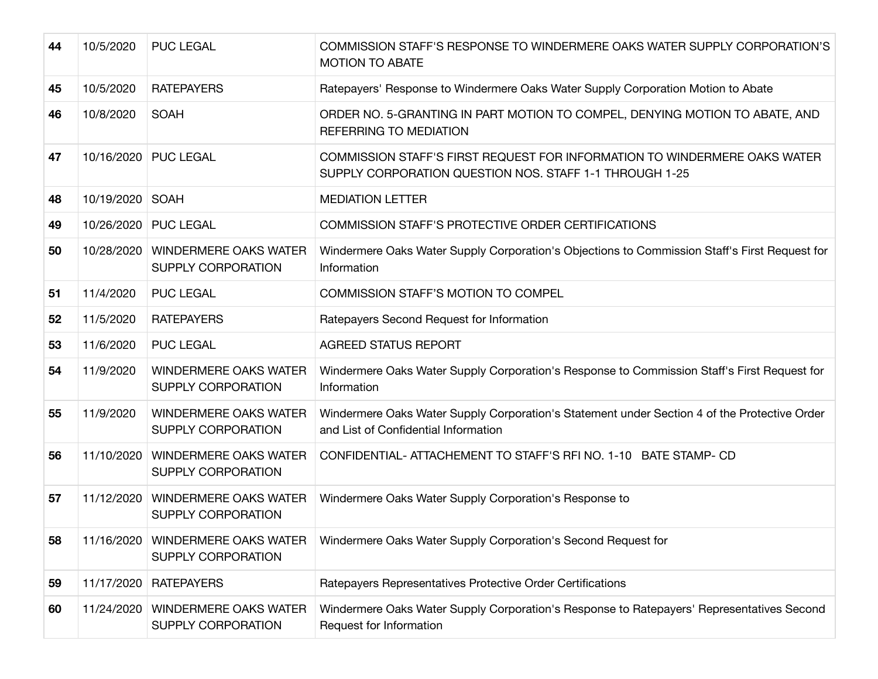| 44 | 10/5/2020  | <b>PUC LEGAL</b>                                         | COMMISSION STAFF'S RESPONSE TO WINDERMERE OAKS WATER SUPPLY CORPORATION'S<br><b>MOTION TO ABATE</b>                                  |
|----|------------|----------------------------------------------------------|--------------------------------------------------------------------------------------------------------------------------------------|
| 45 | 10/5/2020  | <b>RATEPAYERS</b>                                        | Ratepayers' Response to Windermere Oaks Water Supply Corporation Motion to Abate                                                     |
| 46 | 10/8/2020  | <b>SOAH</b>                                              | ORDER NO. 5-GRANTING IN PART MOTION TO COMPEL, DENYING MOTION TO ABATE, AND<br>REFERRING TO MEDIATION                                |
| 47 |            | 10/16/2020 PUC LEGAL                                     | COMMISSION STAFF'S FIRST REQUEST FOR INFORMATION TO WINDERMERE OAKS WATER<br>SUPPLY CORPORATION QUESTION NOS. STAFF 1-1 THROUGH 1-25 |
| 48 | 10/19/2020 | <b>SOAH</b>                                              | <b>MEDIATION LETTER</b>                                                                                                              |
| 49 |            | 10/26/2020 PUC LEGAL                                     | <b>COMMISSION STAFF'S PROTECTIVE ORDER CERTIFICATIONS</b>                                                                            |
| 50 |            | 10/28/2020   WINDERMERE OAKS WATER<br>SUPPLY CORPORATION | Windermere Oaks Water Supply Corporation's Objections to Commission Staff's First Request for<br>Information                         |
| 51 | 11/4/2020  | <b>PUC LEGAL</b>                                         | <b>COMMISSION STAFF'S MOTION TO COMPEL</b>                                                                                           |
| 52 | 11/5/2020  | <b>RATEPAYERS</b>                                        | Ratepayers Second Request for Information                                                                                            |
| 53 | 11/6/2020  | <b>PUC LEGAL</b>                                         | <b>AGREED STATUS REPORT</b>                                                                                                          |
| 54 | 11/9/2020  | <b>WINDERMERE OAKS WATER</b><br>SUPPLY CORPORATION       | Windermere Oaks Water Supply Corporation's Response to Commission Staff's First Request for<br>Information                           |
| 55 | 11/9/2020  | <b>WINDERMERE OAKS WATER</b><br>SUPPLY CORPORATION       | Windermere Oaks Water Supply Corporation's Statement under Section 4 of the Protective Order<br>and List of Confidential Information |
| 56 | 11/10/2020 | <b>WINDERMERE OAKS WATER</b><br>SUPPLY CORPORATION       | CONFIDENTIAL- ATTACHEMENT TO STAFF'S RFI NO. 1-10 BATE STAMP- CD                                                                     |
| 57 | 11/12/2020 | <b>WINDERMERE OAKS WATER</b><br>SUPPLY CORPORATION       | Windermere Oaks Water Supply Corporation's Response to                                                                               |
| 58 |            | 11/16/2020   WINDERMERE OAKS WATER<br>SUPPLY CORPORATION | Windermere Oaks Water Supply Corporation's Second Request for                                                                        |
| 59 | 11/17/2020 | <b>RATEPAYERS</b>                                        | Ratepayers Representatives Protective Order Certifications                                                                           |
| 60 | 11/24/2020 | <b>WINDERMERE OAKS WATER</b><br>SUPPLY CORPORATION       | Windermere Oaks Water Supply Corporation's Response to Ratepayers' Representatives Second<br>Request for Information                 |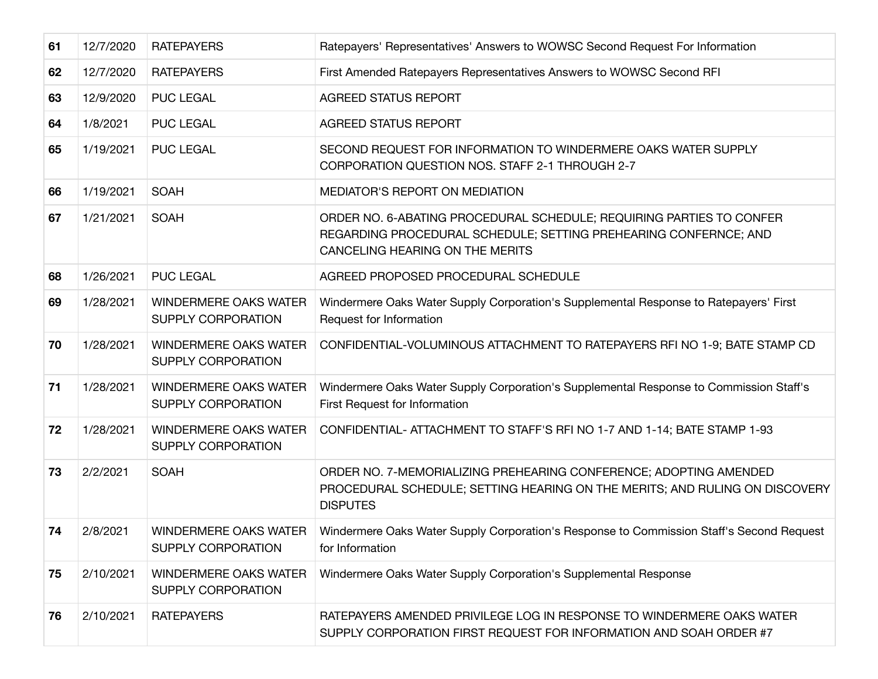| 61 | 12/7/2020 | <b>RATEPAYERS</b>                                  | Ratepayers' Representatives' Answers to WOWSC Second Request For Information                                                                                                |
|----|-----------|----------------------------------------------------|-----------------------------------------------------------------------------------------------------------------------------------------------------------------------------|
| 62 | 12/7/2020 | <b>RATEPAYERS</b>                                  | First Amended Ratepayers Representatives Answers to WOWSC Second RFI                                                                                                        |
| 63 | 12/9/2020 | <b>PUC LEGAL</b>                                   | <b>AGREED STATUS REPORT</b>                                                                                                                                                 |
| 64 | 1/8/2021  | <b>PUC LEGAL</b>                                   | <b>AGREED STATUS REPORT</b>                                                                                                                                                 |
| 65 | 1/19/2021 | <b>PUC LEGAL</b>                                   | SECOND REQUEST FOR INFORMATION TO WINDERMERE OAKS WATER SUPPLY<br>CORPORATION QUESTION NOS. STAFF 2-1 THROUGH 2-7                                                           |
| 66 | 1/19/2021 | <b>SOAH</b>                                        | MEDIATOR'S REPORT ON MEDIATION                                                                                                                                              |
| 67 | 1/21/2021 | <b>SOAH</b>                                        | ORDER NO. 6-ABATING PROCEDURAL SCHEDULE; REQUIRING PARTIES TO CONFER<br>REGARDING PROCEDURAL SCHEDULE; SETTING PREHEARING CONFERNCE; AND<br>CANCELING HEARING ON THE MERITS |
| 68 | 1/26/2021 | <b>PUC LEGAL</b>                                   | AGREED PROPOSED PROCEDURAL SCHEDULE                                                                                                                                         |
| 69 | 1/28/2021 | <b>WINDERMERE OAKS WATER</b><br>SUPPLY CORPORATION | Windermere Oaks Water Supply Corporation's Supplemental Response to Ratepayers' First<br>Request for Information                                                            |
| 70 | 1/28/2021 | <b>WINDERMERE OAKS WATER</b><br>SUPPLY CORPORATION | CONFIDENTIAL-VOLUMINOUS ATTACHMENT TO RATEPAYERS RFI NO 1-9; BATE STAMP CD                                                                                                  |
| 71 | 1/28/2021 | <b>WINDERMERE OAKS WATER</b><br>SUPPLY CORPORATION | Windermere Oaks Water Supply Corporation's Supplemental Response to Commission Staff's<br>First Request for Information                                                     |
| 72 | 1/28/2021 | <b>WINDERMERE OAKS WATER</b><br>SUPPLY CORPORATION | CONFIDENTIAL- ATTACHMENT TO STAFF'S RFI NO 1-7 AND 1-14; BATE STAMP 1-93                                                                                                    |
| 73 | 2/2/2021  | <b>SOAH</b>                                        | ORDER NO. 7-MEMORIALIZING PREHEARING CONFERENCE; ADOPTING AMENDED<br>PROCEDURAL SCHEDULE; SETTING HEARING ON THE MERITS; AND RULING ON DISCOVERY<br><b>DISPUTES</b>         |
| 74 | 2/8/2021  | WINDERMERE OAKS WATER<br><b>SUPPLY CORPORATION</b> | Windermere Oaks Water Supply Corporation's Response to Commission Staff's Second Request<br>for Information                                                                 |
| 75 | 2/10/2021 | <b>WINDERMERE OAKS WATER</b><br>SUPPLY CORPORATION | Windermere Oaks Water Supply Corporation's Supplemental Response                                                                                                            |
| 76 | 2/10/2021 | <b>RATEPAYERS</b>                                  | RATEPAYERS AMENDED PRIVILEGE LOG IN RESPONSE TO WINDERMERE OAKS WATER<br>SUPPLY CORPORATION FIRST REQUEST FOR INFORMATION AND SOAH ORDER #7                                 |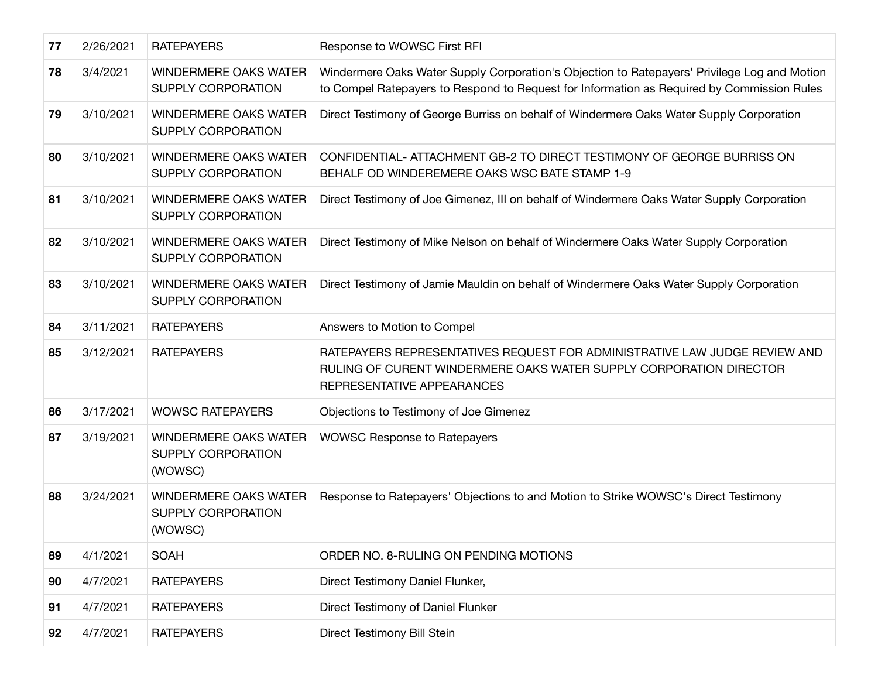| 77 | 2/26/2021 | <b>RATEPAYERS</b>                                                    | Response to WOWSC First RFI                                                                                                                                                                |
|----|-----------|----------------------------------------------------------------------|--------------------------------------------------------------------------------------------------------------------------------------------------------------------------------------------|
| 78 | 3/4/2021  | <b>WINDERMERE OAKS WATER</b><br><b>SUPPLY CORPORATION</b>            | Windermere Oaks Water Supply Corporation's Objection to Ratepayers' Privilege Log and Motion<br>to Compel Ratepayers to Respond to Request for Information as Required by Commission Rules |
| 79 | 3/10/2021 | <b>WINDERMERE OAKS WATER</b><br>SUPPLY CORPORATION                   | Direct Testimony of George Burriss on behalf of Windermere Oaks Water Supply Corporation                                                                                                   |
| 80 | 3/10/2021 | <b>WINDERMERE OAKS WATER</b><br>SUPPLY CORPORATION                   | CONFIDENTIAL-ATTACHMENT GB-2 TO DIRECT TESTIMONY OF GEORGE BURRISS ON<br>BEHALF OD WINDEREMERE OAKS WSC BATE STAMP 1-9                                                                     |
| 81 | 3/10/2021 | <b>WINDERMERE OAKS WATER</b><br><b>SUPPLY CORPORATION</b>            | Direct Testimony of Joe Gimenez, III on behalf of Windermere Oaks Water Supply Corporation                                                                                                 |
| 82 | 3/10/2021 | WINDERMERE OAKS WATER<br><b>SUPPLY CORPORATION</b>                   | Direct Testimony of Mike Nelson on behalf of Windermere Oaks Water Supply Corporation                                                                                                      |
| 83 | 3/10/2021 | <b>WINDERMERE OAKS WATER</b><br><b>SUPPLY CORPORATION</b>            | Direct Testimony of Jamie Mauldin on behalf of Windermere Oaks Water Supply Corporation                                                                                                    |
| 84 | 3/11/2021 | <b>RATEPAYERS</b>                                                    | Answers to Motion to Compel                                                                                                                                                                |
| 85 | 3/12/2021 | <b>RATEPAYERS</b>                                                    | RATEPAYERS REPRESENTATIVES REQUEST FOR ADMINISTRATIVE LAW JUDGE REVIEW AND<br>RULING OF CURENT WINDERMERE OAKS WATER SUPPLY CORPORATION DIRECTOR<br>REPRESENTATIVE APPEARANCES             |
| 86 | 3/17/2021 | <b>WOWSC RATEPAYERS</b>                                              | Objections to Testimony of Joe Gimenez                                                                                                                                                     |
| 87 | 3/19/2021 | <b>WINDERMERE OAKS WATER</b><br>SUPPLY CORPORATION<br>(WOWSC)        | <b>WOWSC Response to Ratepayers</b>                                                                                                                                                        |
| 88 | 3/24/2021 | <b>WINDERMERE OAKS WATER</b><br><b>SUPPLY CORPORATION</b><br>(WOWSC) | Response to Ratepayers' Objections to and Motion to Strike WOWSC's Direct Testimony                                                                                                        |
| 89 | 4/1/2021  | <b>SOAH</b>                                                          | ORDER NO. 8-RULING ON PENDING MOTIONS                                                                                                                                                      |
| 90 | 4/7/2021  | <b>RATEPAYERS</b>                                                    | Direct Testimony Daniel Flunker,                                                                                                                                                           |
| 91 | 4/7/2021  | <b>RATEPAYERS</b>                                                    | Direct Testimony of Daniel Flunker                                                                                                                                                         |
| 92 | 4/7/2021  | <b>RATEPAYERS</b>                                                    | Direct Testimony Bill Stein                                                                                                                                                                |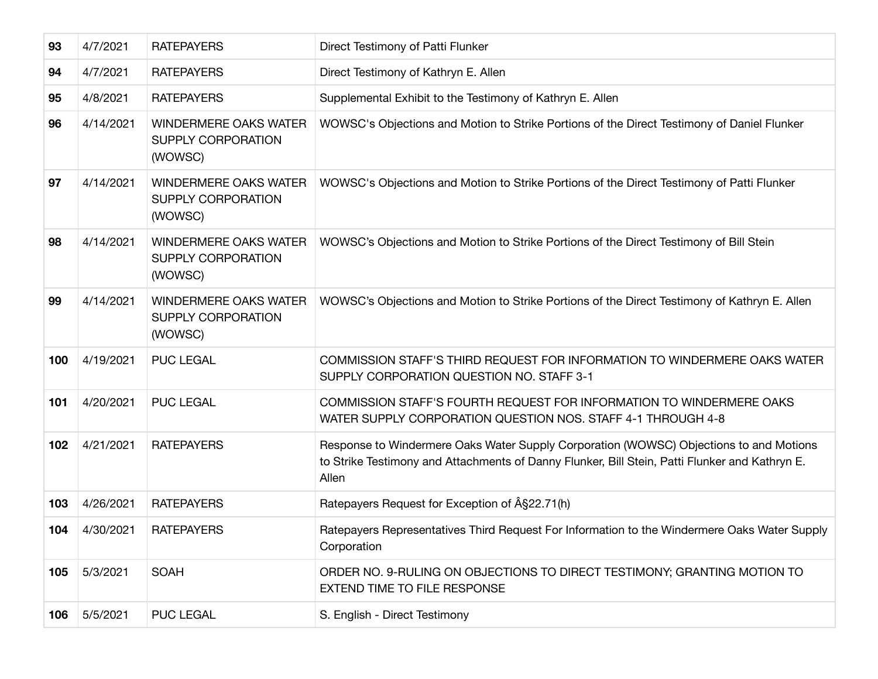| 93  | 4/7/2021  | <b>RATEPAYERS</b>                                             | Direct Testimony of Patti Flunker                                                                                                                                                                 |
|-----|-----------|---------------------------------------------------------------|---------------------------------------------------------------------------------------------------------------------------------------------------------------------------------------------------|
| 94  | 4/7/2021  | <b>RATEPAYERS</b>                                             | Direct Testimony of Kathryn E. Allen                                                                                                                                                              |
| 95  | 4/8/2021  | <b>RATEPAYERS</b>                                             | Supplemental Exhibit to the Testimony of Kathryn E. Allen                                                                                                                                         |
| 96  | 4/14/2021 | <b>WINDERMERE OAKS WATER</b><br>SUPPLY CORPORATION<br>(WOWSC) | WOWSC's Objections and Motion to Strike Portions of the Direct Testimony of Daniel Flunker                                                                                                        |
| 97  | 4/14/2021 | <b>WINDERMERE OAKS WATER</b><br>SUPPLY CORPORATION<br>(WOWSC) | WOWSC's Objections and Motion to Strike Portions of the Direct Testimony of Patti Flunker                                                                                                         |
| 98  | 4/14/2021 | WINDERMERE OAKS WATER<br>SUPPLY CORPORATION<br>(WOWSC)        | WOWSC's Objections and Motion to Strike Portions of the Direct Testimony of Bill Stein                                                                                                            |
| 99  | 4/14/2021 | <b>WINDERMERE OAKS WATER</b><br>SUPPLY CORPORATION<br>(WOWSC) | WOWSC's Objections and Motion to Strike Portions of the Direct Testimony of Kathryn E. Allen                                                                                                      |
| 100 | 4/19/2021 | <b>PUC LEGAL</b>                                              | COMMISSION STAFF'S THIRD REQUEST FOR INFORMATION TO WINDERMERE OAKS WATER<br>SUPPLY CORPORATION QUESTION NO. STAFF 3-1                                                                            |
| 101 | 4/20/2021 | <b>PUC LEGAL</b>                                              | COMMISSION STAFF'S FOURTH REQUEST FOR INFORMATION TO WINDERMERE OAKS<br>WATER SUPPLY CORPORATION QUESTION NOS. STAFF 4-1 THROUGH 4-8                                                              |
| 102 | 4/21/2021 | <b>RATEPAYERS</b>                                             | Response to Windermere Oaks Water Supply Corporation (WOWSC) Objections to and Motions<br>to Strike Testimony and Attachments of Danny Flunker, Bill Stein, Patti Flunker and Kathryn E.<br>Allen |
| 103 | 4/26/2021 | <b>RATEPAYERS</b>                                             | Ratepayers Request for Exception of $\hat{A}$ §22.71(h)                                                                                                                                           |
| 104 | 4/30/2021 | <b>RATEPAYERS</b>                                             | Ratepayers Representatives Third Request For Information to the Windermere Oaks Water Supply<br>Corporation                                                                                       |
| 105 | 5/3/2021  | <b>SOAH</b>                                                   | ORDER NO. 9-RULING ON OBJECTIONS TO DIRECT TESTIMONY; GRANTING MOTION TO<br><b>EXTEND TIME TO FILE RESPONSE</b>                                                                                   |
| 106 | 5/5/2021  | <b>PUC LEGAL</b>                                              | S. English - Direct Testimony                                                                                                                                                                     |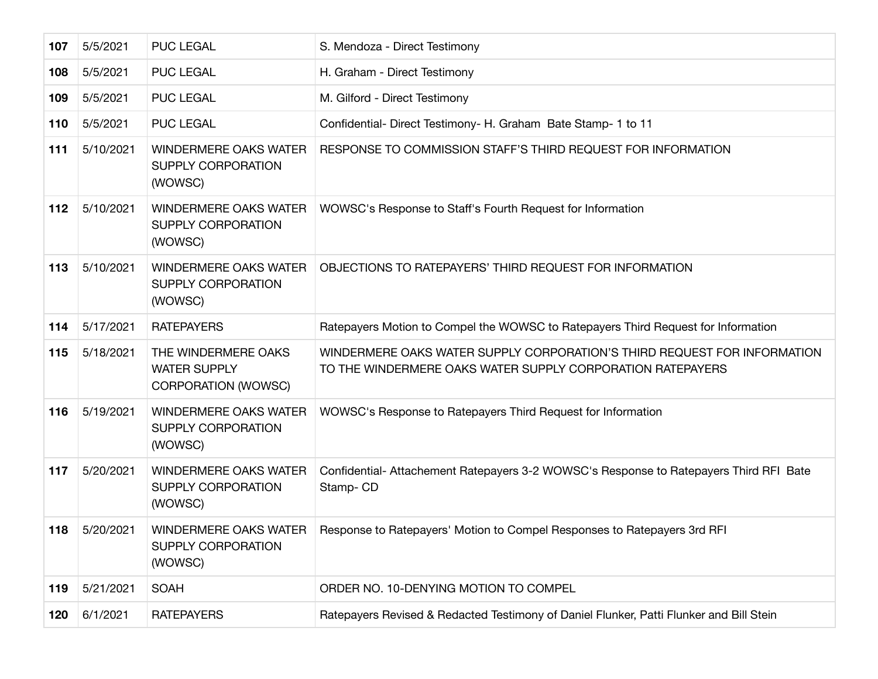| 107 | 5/5/2021  | <b>PUC LEGAL</b>                                                         | S. Mendoza - Direct Testimony                                                                                                          |
|-----|-----------|--------------------------------------------------------------------------|----------------------------------------------------------------------------------------------------------------------------------------|
| 108 | 5/5/2021  | <b>PUC LEGAL</b>                                                         | H. Graham - Direct Testimony                                                                                                           |
| 109 | 5/5/2021  | <b>PUC LEGAL</b>                                                         | M. Gilford - Direct Testimony                                                                                                          |
| 110 | 5/5/2021  | <b>PUC LEGAL</b>                                                         | Confidential-Direct Testimony- H. Graham Bate Stamp- 1 to 11                                                                           |
| 111 | 5/10/2021 | <b>WINDERMERE OAKS WATER</b><br><b>SUPPLY CORPORATION</b><br>(WOWSC)     | RESPONSE TO COMMISSION STAFF'S THIRD REQUEST FOR INFORMATION                                                                           |
| 112 | 5/10/2021 | WINDERMERE OAKS WATER<br>SUPPLY CORPORATION<br>(WOWSC)                   | WOWSC's Response to Staff's Fourth Request for Information                                                                             |
| 113 | 5/10/2021 | <b>WINDERMERE OAKS WATER</b><br><b>SUPPLY CORPORATION</b><br>(WOWSC)     | OBJECTIONS TO RATEPAYERS' THIRD REQUEST FOR INFORMATION                                                                                |
| 114 | 5/17/2021 | <b>RATEPAYERS</b>                                                        | Ratepayers Motion to Compel the WOWSC to Ratepayers Third Request for Information                                                      |
| 115 | 5/18/2021 | THE WINDERMERE OAKS<br><b>WATER SUPPLY</b><br><b>CORPORATION (WOWSC)</b> | WINDERMERE OAKS WATER SUPPLY CORPORATION'S THIRD REQUEST FOR INFORMATION<br>TO THE WINDERMERE OAKS WATER SUPPLY CORPORATION RATEPAYERS |
| 116 | 5/19/2021 | <b>WINDERMERE OAKS WATER</b><br>SUPPLY CORPORATION<br>(WOWSC)            | WOWSC's Response to Ratepayers Third Request for Information                                                                           |
| 117 | 5/20/2021 | <b>WINDERMERE OAKS WATER</b><br><b>SUPPLY CORPORATION</b><br>(WOWSC)     | Confidential- Attachement Ratepayers 3-2 WOWSC's Response to Ratepayers Third RFI Bate<br>Stamp-CD                                     |
| 118 | 5/20/2021 | WINDERMERE OAKS WATER<br>SUPPLY CORPORATION<br>(WOWSC)                   | Response to Ratepayers' Motion to Compel Responses to Ratepayers 3rd RFI                                                               |
| 119 | 5/21/2021 | <b>SOAH</b>                                                              | ORDER NO. 10-DENYING MOTION TO COMPEL                                                                                                  |
| 120 | 6/1/2021  | <b>RATEPAYERS</b>                                                        | Ratepayers Revised & Redacted Testimony of Daniel Flunker, Patti Flunker and Bill Stein                                                |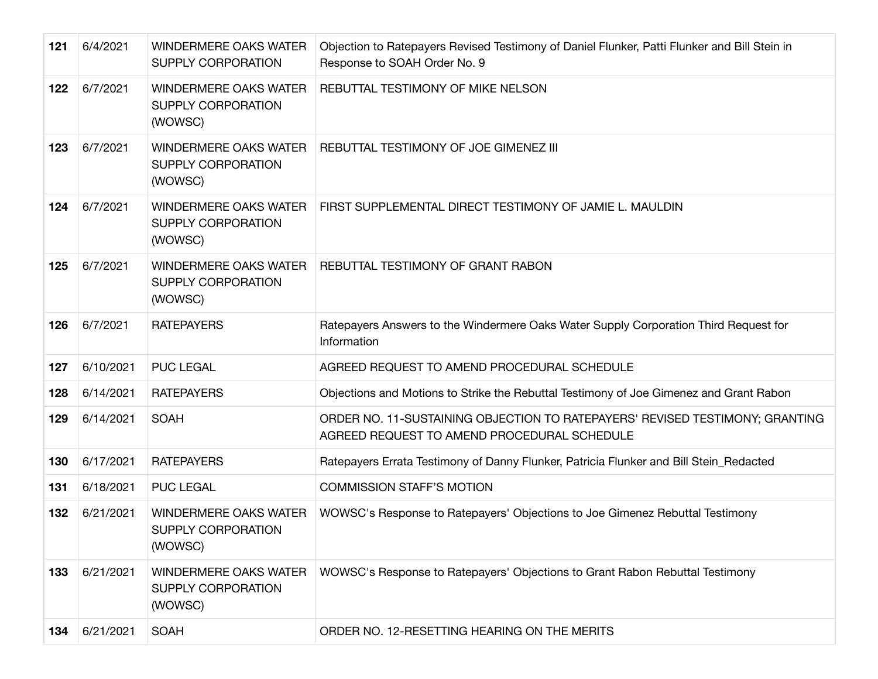| 121 | 6/4/2021  | <b>WINDERMERE OAKS WATER</b><br><b>SUPPLY CORPORATION</b>            | Objection to Ratepayers Revised Testimony of Daniel Flunker, Patti Flunker and Bill Stein in<br>Response to SOAH Order No. 9 |
|-----|-----------|----------------------------------------------------------------------|------------------------------------------------------------------------------------------------------------------------------|
| 122 | 6/7/2021  | <b>WINDERMERE OAKS WATER</b><br>SUPPLY CORPORATION<br>(WOWSC)        | REBUTTAL TESTIMONY OF MIKE NELSON                                                                                            |
| 123 | 6/7/2021  | <b>WINDERMERE OAKS WATER</b><br>SUPPLY CORPORATION<br>(WOWSC)        | REBUTTAL TESTIMONY OF JOE GIMENEZ III                                                                                        |
| 124 | 6/7/2021  | <b>WINDERMERE OAKS WATER</b><br><b>SUPPLY CORPORATION</b><br>(WOWSC) | FIRST SUPPLEMENTAL DIRECT TESTIMONY OF JAMIE L. MAULDIN                                                                      |
| 125 | 6/7/2021  | <b>WINDERMERE OAKS WATER</b><br>SUPPLY CORPORATION<br>(WOWSC)        | REBUTTAL TESTIMONY OF GRANT RABON                                                                                            |
| 126 | 6/7/2021  | <b>RATEPAYERS</b>                                                    | Ratepayers Answers to the Windermere Oaks Water Supply Corporation Third Request for<br>Information                          |
| 127 | 6/10/2021 | <b>PUC LEGAL</b>                                                     | AGREED REQUEST TO AMEND PROCEDURAL SCHEDULE                                                                                  |
| 128 | 6/14/2021 | <b>RATEPAYERS</b>                                                    | Objections and Motions to Strike the Rebuttal Testimony of Joe Gimenez and Grant Rabon                                       |
| 129 | 6/14/2021 | <b>SOAH</b>                                                          | ORDER NO. 11-SUSTAINING OBJECTION TO RATEPAYERS' REVISED TESTIMONY; GRANTING<br>AGREED REQUEST TO AMEND PROCEDURAL SCHEDULE  |
| 130 | 6/17/2021 | <b>RATEPAYERS</b>                                                    | Ratepayers Errata Testimony of Danny Flunker, Patricia Flunker and Bill Stein_Redacted                                       |
| 131 | 6/18/2021 | <b>PUC LEGAL</b>                                                     | <b>COMMISSION STAFF'S MOTION</b>                                                                                             |
| 132 | 6/21/2021 | <b>WINDERMERE OAKS WATER</b><br>SUPPLY CORPORATION<br>(WOWSC)        | WOWSC's Response to Ratepayers' Objections to Joe Gimenez Rebuttal Testimony                                                 |
| 133 | 6/21/2021 | <b>WINDERMERE OAKS WATER</b><br><b>SUPPLY CORPORATION</b><br>(WOWSC) | WOWSC's Response to Ratepayers' Objections to Grant Rabon Rebuttal Testimony                                                 |
| 134 | 6/21/2021 | <b>SOAH</b>                                                          | ORDER NO. 12-RESETTING HEARING ON THE MERITS                                                                                 |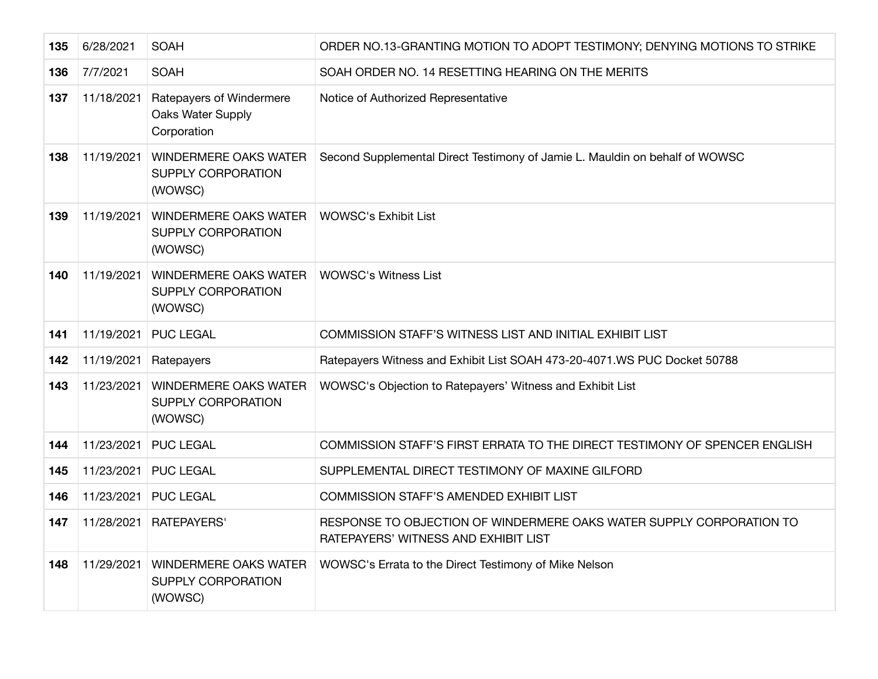| 135 | 6/28/2021  | <b>SOAH</b>                                                          | ORDER NO.13-GRANTING MOTION TO ADOPT TESTIMONY; DENYING MOTIONS TO STRIKE                                    |
|-----|------------|----------------------------------------------------------------------|--------------------------------------------------------------------------------------------------------------|
| 136 | 7/7/2021   | <b>SOAH</b>                                                          | SOAH ORDER NO. 14 RESETTING HEARING ON THE MERITS                                                            |
| 137 | 11/18/2021 | Ratepayers of Windermere<br>Oaks Water Supply<br>Corporation         | Notice of Authorized Representative                                                                          |
| 138 | 11/19/2021 | <b>WINDERMERE OAKS WATER</b><br><b>SUPPLY CORPORATION</b><br>(WOWSC) | Second Supplemental Direct Testimony of Jamie L. Mauldin on behalf of WOWSC                                  |
| 139 | 11/19/2021 | <b>WINDERMERE OAKS WATER</b><br><b>SUPPLY CORPORATION</b><br>(WOWSC) | <b>WOWSC's Exhibit List</b>                                                                                  |
| 140 | 11/19/2021 | <b>WINDERMERE OAKS WATER</b><br>SUPPLY CORPORATION<br>(WOWSC)        | <b>WOWSC's Witness List</b>                                                                                  |
| 141 | 11/19/2021 | <b>PUC LEGAL</b>                                                     | COMMISSION STAFF'S WITNESS LIST AND INITIAL EXHIBIT LIST                                                     |
| 142 | 11/19/2021 | Ratepayers                                                           | Ratepayers Witness and Exhibit List SOAH 473-20-4071.WS PUC Docket 50788                                     |
| 143 | 11/23/2021 | <b>WINDERMERE OAKS WATER</b><br>SUPPLY CORPORATION<br>(WOWSC)        | WOWSC's Objection to Ratepayers' Witness and Exhibit List                                                    |
| 144 | 11/23/2021 | <b>PUC LEGAL</b>                                                     | COMMISSION STAFF'S FIRST ERRATA TO THE DIRECT TESTIMONY OF SPENCER ENGLISH                                   |
| 145 | 11/23/2021 | <b>PUC LEGAL</b>                                                     | SUPPLEMENTAL DIRECT TESTIMONY OF MAXINE GILFORD                                                              |
| 146 | 11/23/2021 | <b>PUC LEGAL</b>                                                     | <b>COMMISSION STAFF'S AMENDED EXHIBIT LIST</b>                                                               |
| 147 | 11/28/2021 | <b>RATEPAYERS'</b>                                                   | RESPONSE TO OBJECTION OF WINDERMERE OAKS WATER SUPPLY CORPORATION TO<br>RATEPAYERS' WITNESS AND EXHIBIT LIST |
| 148 | 11/29/2021 | <b>WINDERMERE OAKS WATER</b><br><b>SUPPLY CORPORATION</b><br>(WOWSC) | WOWSC's Errata to the Direct Testimony of Mike Nelson                                                        |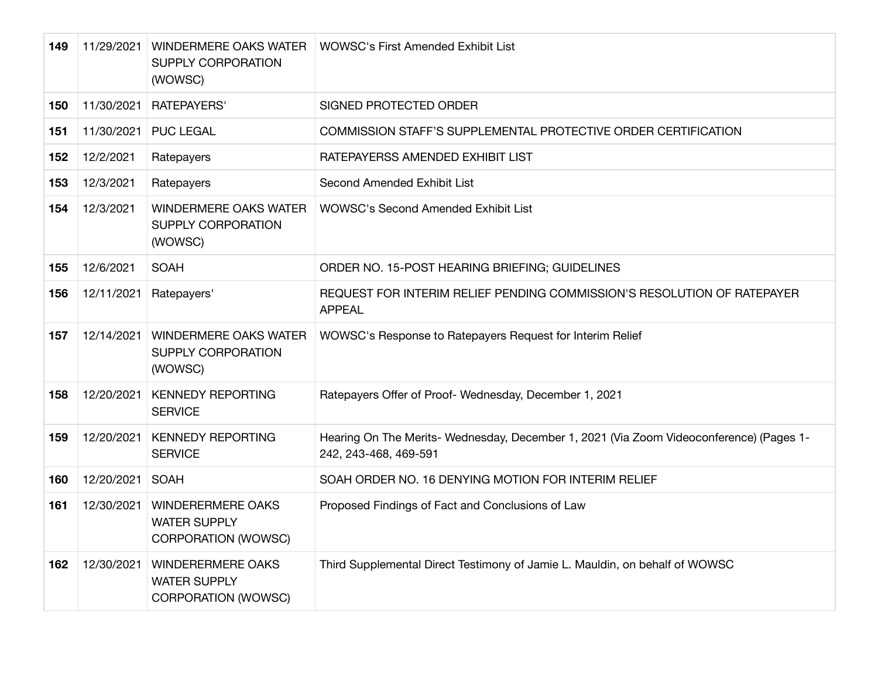| 149 | 11/29/2021 | <b>WINDERMERE OAKS WATER</b><br><b>SUPPLY CORPORATION</b><br>(WOWSC)          | <b>WOWSC's First Amended Exhibit List</b>                                                                        |
|-----|------------|-------------------------------------------------------------------------------|------------------------------------------------------------------------------------------------------------------|
| 150 | 11/30/2021 | <b>RATEPAYERS'</b>                                                            | SIGNED PROTECTED ORDER                                                                                           |
| 151 | 11/30/2021 | <b>PUC LEGAL</b>                                                              | <b>COMMISSION STAFF'S SUPPLEMENTAL PROTECTIVE ORDER CERTIFICATION</b>                                            |
| 152 | 12/2/2021  | Ratepayers                                                                    | RATEPAYERSS AMENDED EXHIBIT LIST                                                                                 |
| 153 | 12/3/2021  | Ratepayers                                                                    | Second Amended Exhibit List                                                                                      |
| 154 | 12/3/2021  | <b>WINDERMERE OAKS WATER</b><br><b>SUPPLY CORPORATION</b><br>(WOWSC)          | <b>WOWSC's Second Amended Exhibit List</b>                                                                       |
| 155 | 12/6/2021  | <b>SOAH</b>                                                                   | ORDER NO. 15-POST HEARING BRIEFING; GUIDELINES                                                                   |
| 156 | 12/11/2021 | Ratepayers'                                                                   | REQUEST FOR INTERIM RELIEF PENDING COMMISSION'S RESOLUTION OF RATEPAYER<br><b>APPEAL</b>                         |
| 157 | 12/14/2021 | <b>WINDERMERE OAKS WATER</b><br><b>SUPPLY CORPORATION</b><br>(WOWSC)          | WOWSC's Response to Ratepayers Request for Interim Relief                                                        |
| 158 | 12/20/2021 | <b>KENNEDY REPORTING</b><br><b>SERVICE</b>                                    | Ratepayers Offer of Proof- Wednesday, December 1, 2021                                                           |
| 159 | 12/20/2021 | <b>KENNEDY REPORTING</b><br><b>SERVICE</b>                                    | Hearing On The Merits- Wednesday, December 1, 2021 (Via Zoom Videoconference) (Pages 1-<br>242, 243-468, 469-591 |
| 160 | 12/20/2021 | <b>SOAH</b>                                                                   | SOAH ORDER NO. 16 DENYING MOTION FOR INTERIM RELIEF                                                              |
| 161 | 12/30/2021 | <b>WINDERERMERE OAKS</b><br><b>WATER SUPPLY</b><br><b>CORPORATION (WOWSC)</b> | Proposed Findings of Fact and Conclusions of Law                                                                 |
| 162 | 12/30/2021 | <b>WINDERERMERE OAKS</b><br><b>WATER SUPPLY</b><br><b>CORPORATION (WOWSC)</b> | Third Supplemental Direct Testimony of Jamie L. Mauldin, on behalf of WOWSC                                      |